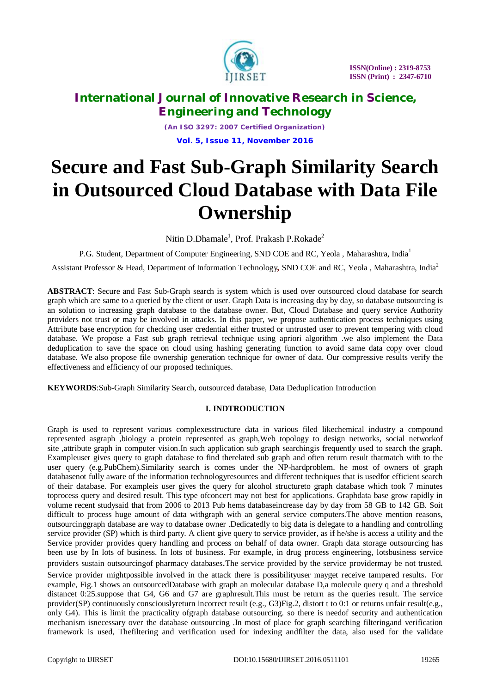

*(An ISO 3297: 2007 Certified Organization)* **Vol. 5, Issue 11, November 2016**

# **Secure and Fast Sub-Graph Similarity Search in Outsourced Cloud Database with Data File Ownership**

Nitin D.Dhamale<sup>1</sup>, Prof. Prakash P.Rokade<sup>2</sup>

P.G. Student, Department of Computer Engineering, SND COE and RC, Yeola, Maharashtra, India<sup>1</sup>

Assistant Professor & Head, Department of Information Technology*,* SND COE and RC, Yeola , Maharashtra, India<sup>2</sup>

**ABSTRACT**: Secure and Fast Sub-Graph search is system which is used over outsourced cloud database for search graph which are same to a queried by the client or user. Graph Data is increasing day by day, so database outsourcing is an solution to increasing graph database to the database owner. But, Cloud Database and query service Authority providers not trust or may be involved in attacks. In this paper, we propose authentication process techniques using Attribute base encryption for checking user credential either trusted or untrusted user to prevent tempering with cloud database. We propose a Fast sub graph retrieval technique using apriori algorithm .we also implement the Data deduplication to save the space on cloud using hashing generating function to avoid same data copy over cloud database. We also propose file ownership generation technique for owner of data. Our compressive results verify the effectiveness and efficiency of our proposed techniques.

**KEYWORDS**:Sub-Graph Similarity Search, outsourced database, Data Deduplication Introduction

# **I. INDTRODUCTION**

Graph is used to represent various complexesstructure data in various filed likechemical industry a compound represented asgraph ,biology a protein represented as graph,Web topology to design networks, social networkof site ,attribute graph in computer vision.In such application sub graph searchingis frequently used to search the graph. Exampleuser gives query to graph database to find therelated sub graph and often return result thatmatch with to the user query (e.g.PubChem).Similarity search is comes under the NP-hardproblem. he most of owners of graph databasenot fully aware of the information technologyresources and different techniques that is usedfor efficient search of their database. For exampleis user gives the query for alcohol structureto graph database which took 7 minutes toprocess query and desired result. This type ofconcert may not best for applications. Graphdata base grow rapidly in volume recent studysaid that from 2006 to 2013 Pub hems databaseincrease day by day from 58 GB to 142 GB. Soit difficult to process huge amount of data withgraph with an general service computers.The above mention reasons, outsourcinggraph database are way to database owner .Dedicatedly to big data is delegate to a handling and controlling service provider (SP) which is third party. A client give query to service provider, as if he/she is access a utility and the Service provider provides query handling and process on behalf of data owner. Graph data storage outsourcing has been use by In lots of business. In lots of business. For example, in drug process engineering, lotsbusiness service providers sustain outsourcingof pharmacy databases.The service provided by the service providermay be not trusted. Service provider mightpossible involved in the attack there is possibilityuser mayget receive tampered results. For example, Fig.1 shows an outsourcedDatabase with graph an molecular database D,a molecule query q and a threshold distancet 0:25.suppose that G4, G6 and G7 are graphresult.This must be return as the queries result. The service provider(SP) continuously consciouslyreturn incorrect result (e.g., G3)Fig.2, distort t to 0:1 or returns unfair result(e.g., only G4). This is limit the practicality ofgraph database outsourcing. so there is needof security and authentication mechanism isnecessary over the database outsourcing .In most of place for graph searching filteringand verification framework is used, Thefiltering and verification used for indexing andfilter the data, also used for the validate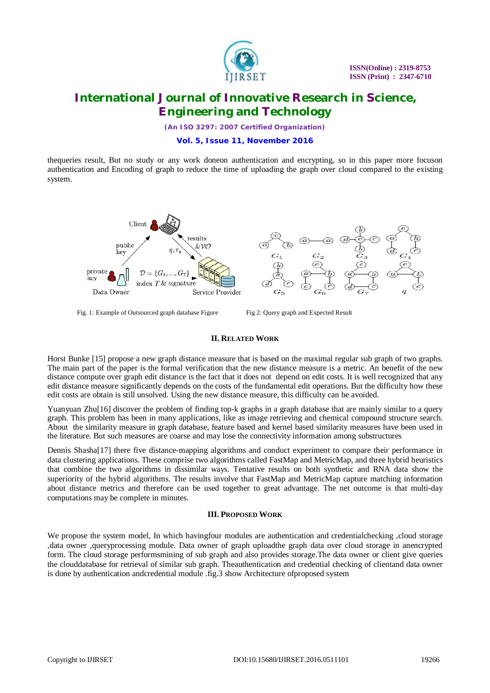

*(An ISO 3297: 2007 Certified Organization)*

## **Vol. 5, Issue 11, November 2016**

thequeries result, But no study or any work doneon authentication and encrypting, so in this paper more focuson authentication and Encoding of graph to reduce the time of uploading the graph over cloud compared to the existing system.



Fig. 1: Example of Outsourced graph database Figure Fig 2: Query graph and Expected Result

#### **II. RELATED WORK**

Horst Bunke [15] propose a new graph distance measure that is based on the maximal regular sub graph of two graphs. The main part of the paper is the formal verification that the new distance measure is a metric. An benefit of the new distance compute over graph edit distance is the fact that it does not depend on edit costs. It is well recognized that any edit distance measure significantly depends on the costs of the fundamental edit operations. But the difficulty how these edit costs are obtain is still unsolved. Using the new distance measure, this difficulty can be avoided.

Yuanyuan Zhu[16] discover the problem of finding top-k graphs in a graph database that are mainly similar to a query graph. This problem has been in many applications, like as image retrieving and chemical compound structure search. About the similarity measure in graph database, feature based and kernel based similarity measures have been used in the literature. But such measures are coarse and may lose the connectivity information among substructures

Dennis Shasha[17] there five distance-mapping algorithms and conduct experiment to compare their performance in data clustering applications. These comprise two algorithms called FastMap and MetricMap, and three hybrid heuristics that combine the two algorithms in dissimilar ways. Tentative results on both synthetic and RNA data show the superiority of the hybrid algorithms. The results involve that FastMap and MetricMap capture matching information about distance metrics and therefore can be used together to great advantage. The net outcome is that multi-day computations may be complete in minutes.

## **III. PROPOSED WORK**

We propose the system model, In which havingfour modules are authentication and credentialchecking ,cloud storage ,data owner ,queryprocessing module. Data owner of graph uploadthe graph data over cloud storage in anencrypted form. The cloud storage performsmining of sub graph and also provides storage.The data owner or client give queries the clouddatabase for retrieval of similar sub graph. Theauthentication and credential checking of clientand data owner is done by authentication andcredential module .fig.3 show Architecture ofproposed system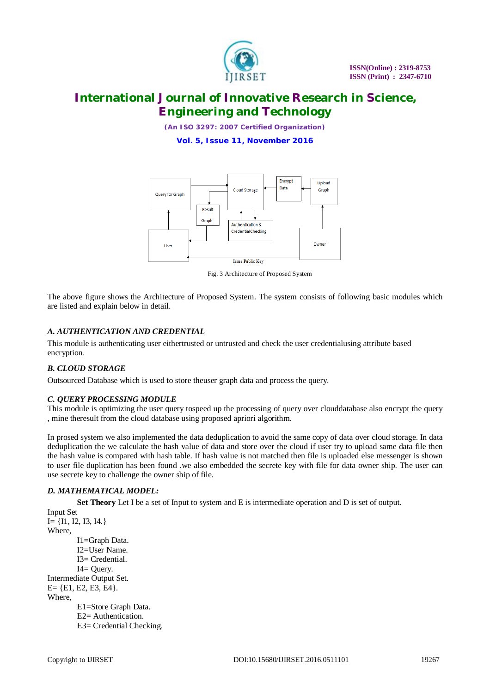

*(An ISO 3297: 2007 Certified Organization)*

**Vol. 5, Issue 11, November 2016**



Fig. 3 Architecture of Proposed System

The above figure shows the Architecture of Proposed System. The system consists of following basic modules which are listed and explain below in detail.

# *A. AUTHENTICATION AND CREDENTIAL*

This module is authenticating user eithertrusted or untrusted and check the user credentialusing attribute based encryption.

# *B. CLOUD STORAGE*

Outsourced Database which is used to store theuser graph data and process the query.

## *C. QUERY PROCESSING MODULE*

This module is optimizing the user query tospeed up the processing of query over clouddatabase also encrypt the query , mine theresult from the cloud database using proposed apriori algorithm.

In prosed system we also implemented the data deduplication to avoid the same copy of data over cloud storage. In data deduplication the we calculate the hash value of data and store over the cloud if user try to upload same data file then the hash value is compared with hash table. If hash value is not matched then file is uploaded else messenger is shown to user file duplication has been found .we also embedded the secrete key with file for data owner ship. The user can use secrete key to challenge the owner ship of file.

## *D. MATHEMATICAL MODEL:*

**Set Theory** Let I be a set of Input to system and E is intermediate operation and D is set of output.

Input Set  $I = \{I1, I2, I3, I4.\}$ Where, I1=Graph Data. I2=User Name. I3= Credential. I4= Query. Intermediate Output Set.  $E = \{E1, E2, E3, E4\}.$ Where, E1=Store Graph Data. E2= Authentication. E3= Credential Checking.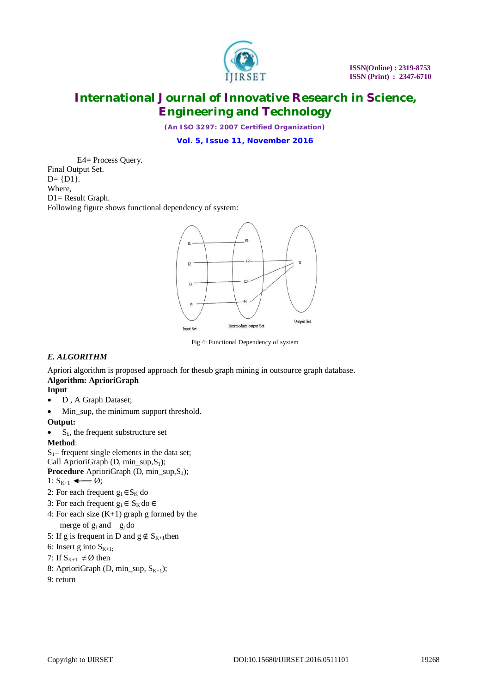

*(An ISO 3297: 2007 Certified Organization)*

**Vol. 5, Issue 11, November 2016**

E4= Process Query. Final Output Set.  $D = \{D1\}.$ Where, D1= Result Graph. Following figure shows functional dependency of system:



Fig 4: Functional Dependency of system

# *E. ALGORITHM*

Apriori algorithm is proposed approach for thesub graph mining in outsource graph database. **Algorithm: AprioriGraph** 

- **Input**
- D, A Graph Dataset;
- Min\_sup, the minimum support threshold.

**Output:**

 $\bullet$  S<sub>k</sub>, the frequent substructure set

**Method**:

 $S_1$ – frequent single elements in the data set; Call AprioriGraph (D, min\_sup, $S_1$ ); **Procedure** AprioriGraph (D, min\_sup,S<sub>1</sub>);

- 1:  $S_{K+1} \leftarrow \emptyset;$
- 2: For each frequent  $g_1 \in S_K$  do
- 3: For each frequent  $g_1$  ∈  $S_K$  do ∈
- 4: For each size (K+1) graph g formed by the merge of  $g_i$  and  $g_i$  do
- 5: If g is frequent in D and  $g \notin S_{K+1}$ then
- 6: Insert g into  $S_{K+1}$ ;
- 7: If  $S_{K+1} \neq \emptyset$  then
- 8: AprioriGraph (D, min\_sup,  $S_{K+1}$ );
- 9: return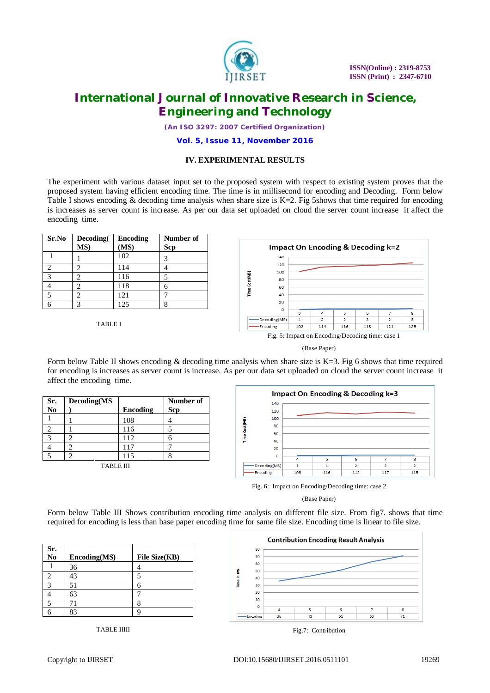

*(An ISO 3297: 2007 Certified Organization)*

#### **Vol. 5, Issue 11, November 2016**

## **IV. EXPERIMENTAL RESULTS**

The experiment with various dataset input set to the proposed system with respect to existing system proves that the proposed system having efficient encoding time. The time is in millisecond for encoding and Decoding. Form below Table I shows encoding  $&$  decoding time analysis when share size is K=2. Fig 5shows that time required for encoding is increases as server count is increase. As per our data set uploaded on cloud the server count increase it affect the encoding time.

| Sr.No         | Decoding(<br>MS) | <b>Encoding</b><br>(MS) | Number of<br>Scp |
|---------------|------------------|-------------------------|------------------|
|               |                  | 102                     |                  |
| ◠             | 2                | 114                     |                  |
| $\mathcal{R}$ | 2                | 116                     |                  |
|               | 2                | 118                     | 6                |
|               | 2                | 121                     |                  |
|               | 3                | 125                     |                  |

TABLE I



<sup>(</sup>Base Paper)

Form below Table II shows encoding & decoding time analysis when share size is K=3. Fig 6 shows that time required for encoding is increases as server count is increase. As per our data set uploaded on cloud the server count increase it affect the encoding time.

|                |                  |          |            | <b>Impact On Encoding &amp; Decoding k=3</b> |               |     |     |     |                          |     |
|----------------|------------------|----------|------------|----------------------------------------------|---------------|-----|-----|-----|--------------------------|-----|
| Sr.            | Decoding(MS      |          | Number of  |                                              | 140           |     |     |     |                          |     |
| N <sub>0</sub> |                  | Encoding | <b>Scp</b> |                                              | 120           |     |     |     |                          |     |
|                |                  | 108      |            |                                              | 100<br>m      |     |     |     |                          |     |
|                |                  | 116      |            |                                              | 80<br>60      |     |     |     |                          |     |
|                |                  | 112      | n          |                                              | 40            |     |     |     |                          |     |
|                |                  | 117      | -          |                                              | 20            |     |     |     |                          |     |
|                |                  | 115      |            |                                              | $\Omega$      |     |     |     |                          | 8   |
|                | <b>TABLE III</b> |          |            |                                              | -Decoding(MS) |     |     |     | $\overline{\phantom{a}}$ | ÷   |
|                |                  |          |            |                                              | -Encoding     | 108 | 116 | 112 | 117                      | 115 |

Fig. 6: Impact on Encoding/Decoding time: case 2

Form below Table III Shows contribution encoding time analysis on different file size. From fig7. shows that time required for encoding is less than base paper encoding time for same file size. Encoding time is linear to file size.

| Sr.<br>No | Encoding(MS) | File Size(KB) |
|-----------|--------------|---------------|
|           | 36           |               |
|           | 43           |               |
| 2         | 51           |               |
|           | 63           |               |
|           |              |               |
|           |              |               |



TABLE IIIII

<sup>(</sup>Base Paper)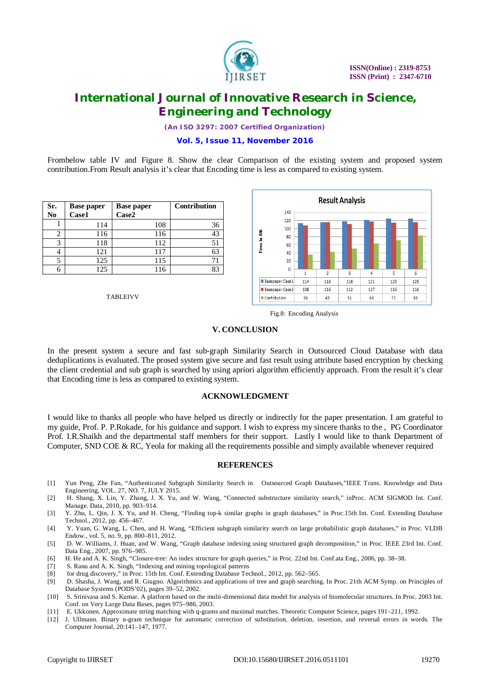

*(An ISO 3297: 2007 Certified Organization)*

## **Vol. 5, Issue 11, November 2016**

Frombelow table IV and Figure 8. Show the clear Comparison of the existing system and proposed system contribution.From Result analysis it's clear that Encoding time is less as compared to existing system.

| Sr.<br>No | <b>Base paper</b><br>Case1 | <b>Base paper</b><br>Case2 | Contribution |
|-----------|----------------------------|----------------------------|--------------|
|           | 114                        | 108                        | 36           |
|           | 116                        | 116                        | 43           |
| 3         | 118                        | 112                        | 51           |
|           | 121                        | 117                        | 63           |
| 5         | 125                        | 115                        |              |
|           | 125                        | 116                        |              |

TABLEIVV



Fig.8: Encoding Analysis

#### **V. CONCLUSION**

In the present system a secure and fast sub-graph Similarity Search in Outsourced Cloud Database with data deduplications is evaluated. The prosed system give secure and fast result using attribute based encryption by checking the client credential and sub graph is searched by using apriori algorithm efficiently approach. From the result it's clear that Encoding time is less as compared to existing system.

#### **ACKNOWLEDGMENT**

I would like to thanks all people who have helped us directly or indirectly for the paper presentation. I am grateful to my guide, Prof. P. P.Rokade, for his guidance and support. I wish to express my sincere thanks to the , PG Coordinator Prof. I.R.Shaikh and the departmental staff members for their support. Lastly I would like to thank Department of Computer, SND COE & RC, Yeola for making all the requirements possible and simply available whenever required

## **REFERENCES**

- [1] Yun Peng, Zhe Fan, "Authenticated Subgraph Similarity Search in Outsourced Graph Databases,"IEEE Trans. Knowledge and Data Engineering, VOL. 27, NO. 7, JULY 2015.
- [2] H. Shang, X. Lin, Y. Zhang, J. X. Yu, and W. Wang, "Connected substructure similarity search," inProc. ACM SIGMOD Int. Conf. Manage. Data, 2010, pp. 903–914.
- [3] Y. Zhu, L. Qin, J. X. Yu, and H. Cheng, "Finding top-k similar graphs in graph databases," in Proc.15th Int. Conf. Extending Database Technol., 2012, pp. 456–467.
- [4] Y. Yuan, G. Wang, L. Chen, and H. Wang, "Efficient subgraph similarity search on large probabilistic graph databases," in Proc. VLDB Endow., vol. 5, no. 9, pp. 800–811, 2012.
- [5] D. W. Williams, J. Huan, and W. Wang, "Graph database indexing using structured graph decomposition," in Proc. IEEE 23rd Int. Conf. Data Eng., 2007, pp. 976–985.
- [6] H. He and A. K. Singh, "Closure-tree: An index structure for graph queries," in Proc. 22nd Int. Conf.ata Eng., 2006, pp. 38–38.
- [7] S. Ranu and A. K. Singh, "Indexing and mining topological patterns
- [8] for drug discovery," in Proc. 15th Int. Conf. Extending Database Technol., 2012, pp. 562–565.
- [9] D. Shasha, J. Wang, and R. Giugno. Algorithmics and applications of tree and graph searching. In Proc. 21th ACM Symp. on Principles of Database Systems (PODS'02), pages 39–52, 2002.
- [10] S. Srinivasa and S. Kumar. A platform based on the multi-dimensional data model for analysis of biomolecular structures. In Proc. 2003 Int. Conf. on Very Large Data Bases, pages 975–986, 2003.
- [11] E. Ukkonen. Approximate string matching with q-grams and maximal matches. Theoretic Computer Science, pages 191–211, 1992.
- [12] J. Ullmann. Binary n-gram technique for automatic correction of substitution, deletion, insertion, and reversal errors in words. The Computer Journal, 20:141–147, 1977.